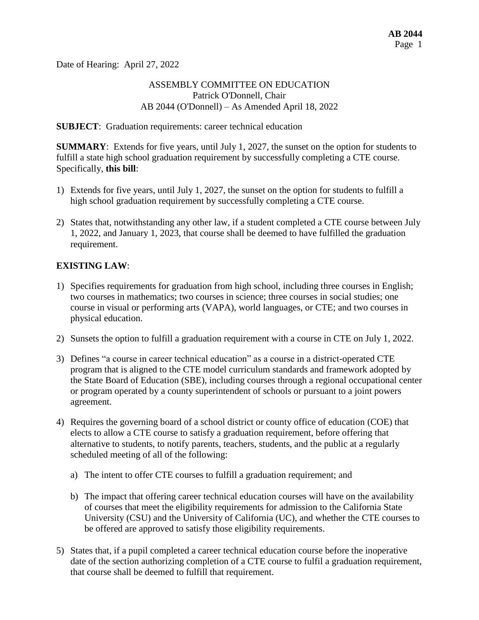Date of Hearing: April 27, 2022

### ASSEMBLY COMMITTEE ON EDUCATION Patrick O'Donnell, Chair AB 2044 (O'Donnell) – As Amended April 18, 2022

#### **SUBJECT**: Graduation requirements: career technical education

**SUMMARY**: Extends for five years, until July 1, 2027, the sunset on the option for students to fulfill a state high school graduation requirement by successfully completing a CTE course. Specifically, **this bill**:

- 1) Extends for five years, until July 1, 2027, the sunset on the option for students to fulfill a high school graduation requirement by successfully completing a CTE course.
- 2) States that, notwithstanding any other law, if a student completed a CTE course between July 1, 2022, and January 1, 2023, that course shall be deemed to have fulfilled the graduation requirement.

## **EXISTING LAW**:

- 1) Specifies requirements for graduation from high school, including three courses in English; two courses in mathematics; two courses in science; three courses in social studies; one course in visual or performing arts (VAPA), world languages, or CTE; and two courses in physical education.
- 2) Sunsets the option to fulfill a graduation requirement with a course in CTE on July 1, 2022.
- 3) Defines "a course in career technical education" as a course in a district-operated CTE program that is aligned to the CTE model curriculum standards and framework adopted by the State Board of Education (SBE), including courses through a regional occupational center or program operated by a county superintendent of schools or pursuant to a joint powers agreement.
- 4) Requires the governing board of a school district or county office of education (COE) that elects to allow a CTE course to satisfy a graduation requirement, before offering that alternative to students, to notify parents, teachers, students, and the public at a regularly scheduled meeting of all of the following:
	- a) The intent to offer CTE courses to fulfill a graduation requirement; and
	- b) The impact that offering career technical education courses will have on the availability of courses that meet the eligibility requirements for admission to the California State University (CSU) and the University of California (UC), and whether the CTE courses to be offered are approved to satisfy those eligibility requirements.
- 5) States that, if a pupil completed a career technical education course before the inoperative date of the section authorizing completion of a CTE course to fulfil a graduation requirement, that course shall be deemed to fulfill that requirement.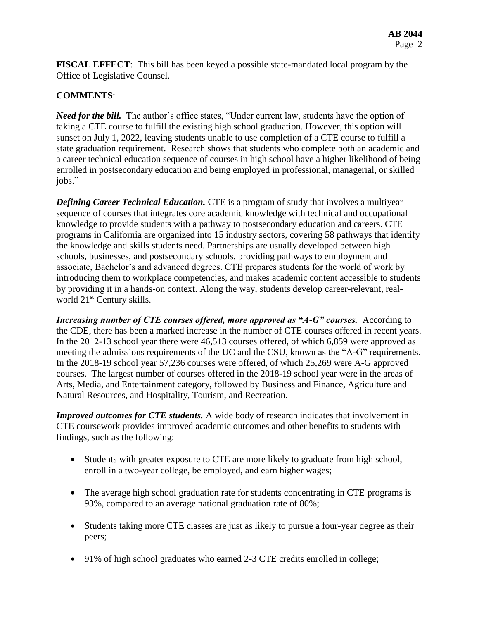**FISCAL EFFECT**: This bill has been keyed a possible state-mandated local program by the Office of Legislative Counsel.

# **COMMENTS**:

*Need for the bill.* The author's office states, "Under current law, students have the option of taking a CTE course to fulfill the existing high school graduation. However, this option will sunset on July 1, 2022, leaving students unable to use completion of a CTE course to fulfill a state graduation requirement. Research shows that students who complete both an academic and a career technical education sequence of courses in high school have a higher likelihood of being enrolled in postsecondary education and being employed in professional, managerial, or skilled jobs."

*Defining Career Technical Education.* CTE is a program of study that involves a multiyear sequence of courses that integrates core academic knowledge with technical and occupational knowledge to provide students with a pathway to postsecondary education and careers. CTE programs in California are organized into 15 industry sectors, covering 58 pathways that identify the knowledge and skills students need. Partnerships are usually developed between high schools, businesses, and postsecondary schools, providing pathways to employment and associate, Bachelor's and advanced degrees. CTE prepares students for the world of work by introducing them to workplace competencies, and makes academic content accessible to students by providing it in a hands-on context. Along the way, students develop career-relevant, realworld 21st Century skills.

*Increasing number of CTE courses offered, more approved as "A-G" courses.* According to the CDE, there has been a marked increase in the number of CTE courses offered in recent years. In the 2012-13 school year there were 46,513 courses offered, of which 6,859 were approved as meeting the admissions requirements of the UC and the CSU, known as the "A-G" requirements. In the 2018-19 school year 57,236 courses were offered, of which 25,269 were A-G approved courses. The largest number of courses offered in the 2018-19 school year were in the areas of Arts, Media, and Entertainment category, followed by Business and Finance, Agriculture and Natural Resources, and Hospitality, Tourism, and Recreation.

*Improved outcomes for CTE students.* A wide body of research indicates that involvement in CTE coursework provides improved academic outcomes and other benefits to students with findings, such as the following:

- Students with greater exposure to CTE are more likely to graduate from high school, enroll in a two-year college, be employed, and earn higher wages;
- The average high school graduation rate for students concentrating in CTE programs is 93%, compared to an average national graduation rate of 80%;
- Students taking more CTE classes are just as likely to pursue a four-year degree as their peers;
- 91% of high school graduates who earned 2-3 CTE credits enrolled in college;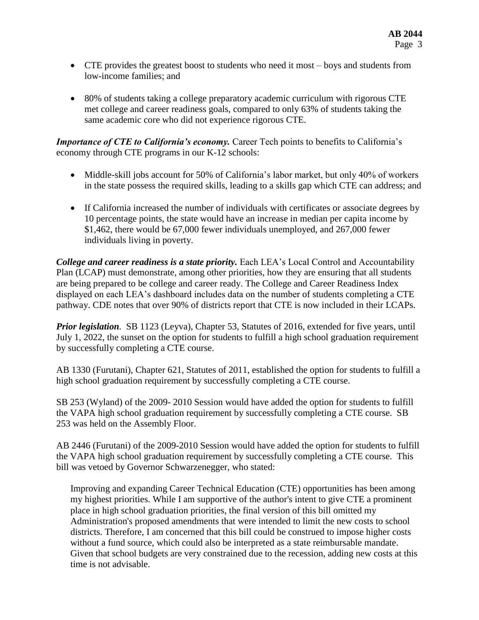- CTE provides the greatest boost to students who need it most boys and students from low-income families; and
- 80% of students taking a college preparatory academic curriculum with rigorous CTE met college and career readiness goals, compared to only 63% of students taking the same academic core who did not experience rigorous CTE.

*Importance of CTE to California's economy.* Career Tech points to benefits to California's economy through CTE programs in our K-12 schools:

- Middle-skill jobs account for 50% of California's labor market, but only 40% of workers in the state possess the required skills, leading to a skills gap which CTE can address; and
- If California increased the number of individuals with certificates or associate degrees by 10 percentage points, the state would have an increase in median per capita income by \$1,462, there would be 67,000 fewer individuals unemployed, and 267,000 fewer individuals living in poverty.

*College and career readiness is a state priority.* Each LEA's Local Control and Accountability Plan (LCAP) must demonstrate, among other priorities, how they are ensuring that all students are being prepared to be college and career ready. The College and Career Readiness Index displayed on each LEA's dashboard includes data on the number of students completing a CTE pathway. CDE notes that over 90% of districts report that CTE is now included in their LCAPs.

*Prior legislation.* SB 1123 (Leyva), Chapter 53, Statutes of 2016, extended for five years, until July 1, 2022, the sunset on the option for students to fulfill a high school graduation requirement by successfully completing a CTE course.

AB 1330 (Furutani), Chapter 621, Statutes of 2011, established the option for students to fulfill a high school graduation requirement by successfully completing a CTE course.

SB 253 (Wyland) of the 2009- 2010 Session would have added the option for students to fulfill the VAPA high school graduation requirement by successfully completing a CTE course. SB 253 was held on the Assembly Floor.

AB 2446 (Furutani) of the 2009-2010 Session would have added the option for students to fulfill the VAPA high school graduation requirement by successfully completing a CTE course. This bill was vetoed by Governor Schwarzenegger, who stated:

Improving and expanding Career Technical Education (CTE) opportunities has been among my highest priorities. While I am supportive of the author's intent to give CTE a prominent place in high school graduation priorities, the final version of this bill omitted my Administration's proposed amendments that were intended to limit the new costs to school districts. Therefore, I am concerned that this bill could be construed to impose higher costs without a fund source, which could also be interpreted as a state reimbursable mandate. Given that school budgets are very constrained due to the recession, adding new costs at this time is not advisable.